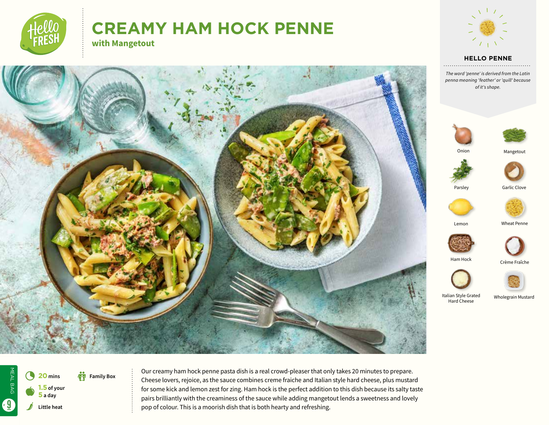

MEAL BAG

MEAL BAG

6

s

**Little heat**

**1.5 of your 5 a day**

4 **<sup>20</sup> mins**

**Family Box** 

 $\bullet$ 

# **CREAMY HAM HOCK PENNE with Mangetout**



#### **HELLO PENNE**

*The word 'penne' is derived from the Latin penna meaning 'feather' or 'quill' because of it's shape.*







Parsley

Garlic Clove



Lemon

Wheat Penne





Italian Style Grated Hard Cheese

Wholegrain Mustard

Crème Fraîche



Our creamy ham hock penne pasta dish is a real crowd-pleaser that only takes 20 minutes to prepare. Cheese lovers, rejoice, as the sauce combines creme fraiche and Italian style hard cheese, plus mustard for some kick and lemon zest for zing. Ham hock is the perfect addition to this dish because its salty taste pairs brilliantly with the creaminess of the sauce while adding mangetout lends a sweetness and lovely

pop of colour. This is a moorish dish that is both hearty and refreshing.